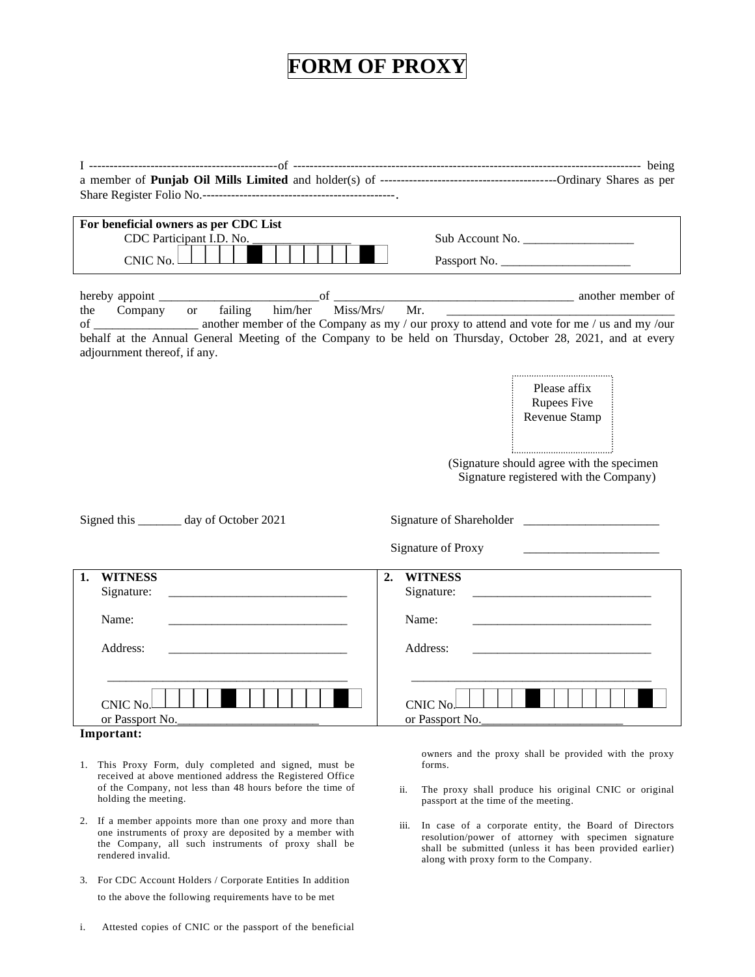## **FORM OF PROXY**

I ----------------------------------------------of ------------------------------------------------------------------------------------- being a member of **Punjab Oil Mills Limited** and holder(s) of -------------------------------------------Ordinary Shares as per Share Register Folio No.-----------------------------------------------.

| For beneficial owners as per CDC List<br>CDC Participant I.D. No.<br>CNIC No. | Sub Account No.<br>Passport No. |
|-------------------------------------------------------------------------------|---------------------------------|
|                                                                               |                                 |

| hereby | appoin  |           |         |         |           |    |                                                                                            | another member of |
|--------|---------|-----------|---------|---------|-----------|----|--------------------------------------------------------------------------------------------|-------------------|
| the    | Company | <b>or</b> | failing | him/her | Miss/Mrs/ | Мr |                                                                                            |                   |
|        |         |           |         |         |           |    | another member of the Company as my / our proxy to attend and vote for me / us and my /our |                   |

behalf at the Annual General Meeting of the Company to be held on Thursday, October 28, 2021, and at every adjournment thereof, if any.

> Please affix Rupees Five Revenue Stamp

 (Signature should agree with the specimen Signature registered with the Company)

| Signed this _________ day of October 2021                                                                                                     |                                                                                                                                                                                                                                                     |
|-----------------------------------------------------------------------------------------------------------------------------------------------|-----------------------------------------------------------------------------------------------------------------------------------------------------------------------------------------------------------------------------------------------------|
|                                                                                                                                               | Signature of Proxy<br>the control of the control of the control of the control of the control of the control of the control of the control of the control of the control of the control of the control of the control of the control of the control |
| <b>WITNESS</b><br>1.                                                                                                                          | <b>WITNESS</b><br>2.                                                                                                                                                                                                                                |
| Signature:<br><u> 1980 - Andrea Andrew Maria (h. 1980).</u>                                                                                   |                                                                                                                                                                                                                                                     |
| Name:                                                                                                                                         | Name:                                                                                                                                                                                                                                               |
| Address:                                                                                                                                      | Address:                                                                                                                                                                                                                                            |
| CNIC No.<br>or Passport No.<br>Immontonte della contratta di contratto di unitato di contratto di unitato di unitato di unitato di unitato di | CNIC No.<br>or Passport No.                                                                                                                                                                                                                         |

**Important:**

- 1. This Proxy Form, duly completed and signed, must be received at above mentioned address the Registered Office of the Company, not less than 48 hours before the time of holding the meeting.
- 2. If a member appoints more than one proxy and more than one instruments of proxy are deposited by a member with the Company, all such instruments of proxy shall be rendered invalid.
- 3. For CDC Account Holders / Corporate Entities In addition to the above the following requirements have to be met
- i. Attested copies of CNIC or the passport of the beneficial

owners and the proxy shall be provided with the proxy forms.

- ii. The proxy shall produce his original CNIC or original passport at the time of the meeting.
- iii. In case of a corporate entity, the Board of Directors resolution/power of attorney with specimen signature shall be submitted (unless it has been provided earlier) along with proxy form to the Company.